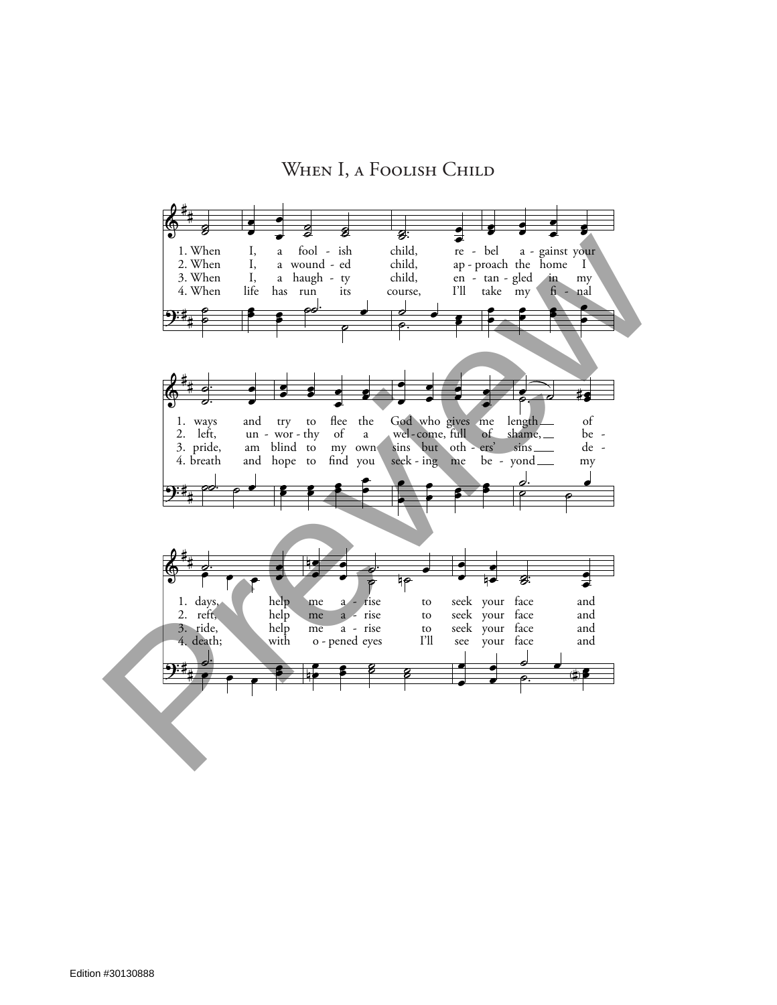## WHEN I, A FOOLISH CHILD